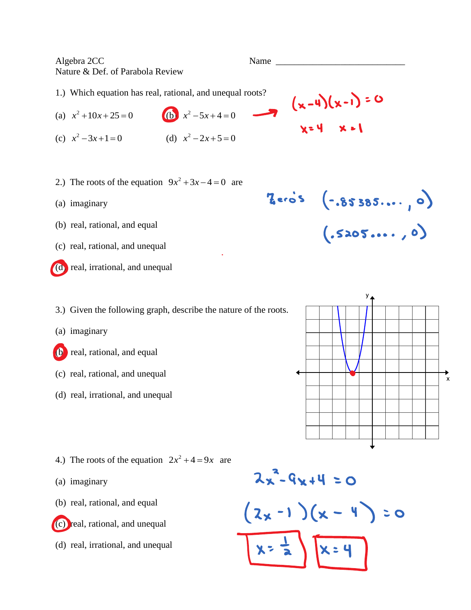Algebra 2CC Name Nature & Def. of Parabola Review 1.) Which equation has real, rational, and unequal roots?  $(x-4)(x-1) = 0$ (a)  $x^2 + 10x + 25 = 0$ **(b)**  $x^2 - 5x + 4 = 0$ (c)  $x^2 - 3x + 1 = 0$ (d)  $x^2 - 2x + 5 = 0$ 2.) The roots of the equation  $9x^2 + 3x - 4 = 0$  are  $7.85385...$ (a) imaginary (b) real, rational, and equal  $(.5205..., 0)$ (c) real, rational, and unequal (d) real, irrational, and unequal 3.) Given the following graph, describe the nature of the roots. (a) imaginary (b) real, rational, and equal (c) real, rational, and unequal  $\mathbf{\hat{x}}$ (d) real, irrational, and unequal 4.) The roots of the equation  $2x^2 + 4 = 9x$  are  $2x^2-9x+4=0$ (a) imaginary (b) real, rational, and equal  $(2x-1)(x-4) = 0$ (c) real, rational, and unequal

(d) real, irrational, and unequal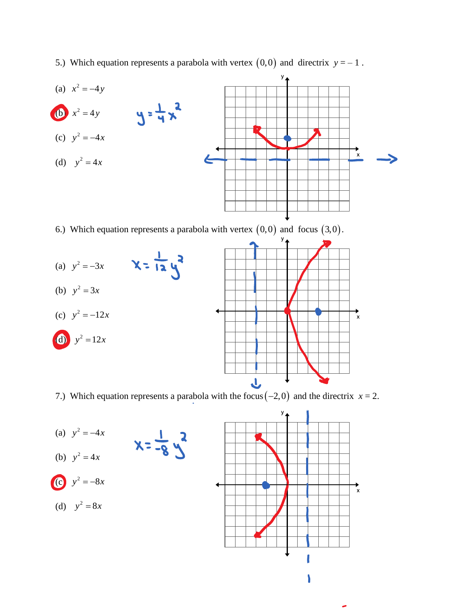5.) Which equation represents a parabola with vertex  $(0,0)$  and directrix  $y = -1$ .



6.) Which equation represents a parabola with vertex  $(0,0)$  and focus  $(3,0)$ .



7.) Which equation represents a parabola with the focus  $(-2,0)$  and the directrix  $x = 2$ .

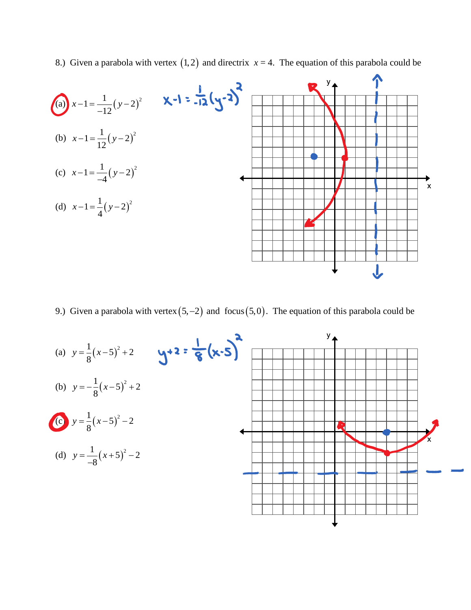8.) Given a parabola with vertex  $(1,2)$  and directrix  $x = 4$ . The equation of this parabola could be



9.) Given a parabola with vertex  $(5,-2)$  and focus  $(5,0)$ . The equation of this parabola could be

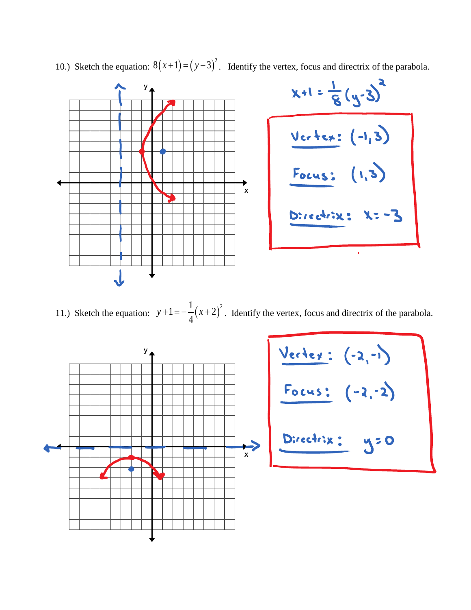

10.) Sketch the equation:  $8(x+1) = (y-3)^2$ . Identify the vertex, focus and directrix of the parabola.

11.) Sketch the equation:  $y+1=-\frac{1}{4}(x+2)$  $1 = -\frac{1}{x} (x + 2)^2$ 4  $y+1=-\frac{1}{4}(x+2)^2$ . Identify the vertex, focus and directrix of the parabola.



| Vertex:    | $(-2,-1)$ |
|------------|-----------|
| Focus:     | $(-2,-2)$ |
| Directrix: | $y=0$     |